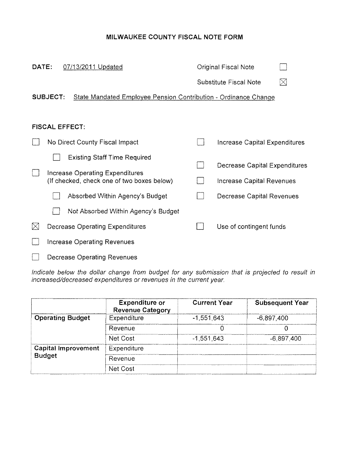# MILWAUKEE COUNTY FISCAL NOTE FORM

| DATE:       | 07/13/2011 Updated                                                                 | Original Fiscal Note                  |
|-------------|------------------------------------------------------------------------------------|---------------------------------------|
|             |                                                                                    | $\boxtimes$<br>Substitute Fiscal Note |
|             | <b>SUBJECT:</b><br>State Mandated Employee Pension Contribution - Ordinance Change |                                       |
|             |                                                                                    |                                       |
|             | <b>FISCAL EFFECT:</b>                                                              |                                       |
|             | No Direct County Fiscal Impact                                                     | Increase Capital Expenditures         |
|             | <b>Existing Staff Time Required</b>                                                | Decrease Capital Expenditures         |
|             | Increase Operating Expenditures<br>(If checked, check one of two boxes below)      | Increase Capital Revenues             |
|             |                                                                                    |                                       |
|             | Absorbed Within Agency's Budget                                                    | Decrease Capital Revenues             |
|             | Not Absorbed Within Agency's Budget                                                |                                       |
| $\boxtimes$ | <b>Decrease Operating Expenditures</b>                                             | Use of contingent funds               |
|             | Increase Operating Revenues                                                        |                                       |
|             | <b>Decrease Operating Revenues</b>                                                 |                                       |

Indicate below the dollar change from budget for any submission that is projected to result in increased/decreased expenditures or revenues in the current year.

|                            | <b>Expenditure or</b><br><b>Revenue Category</b> | <b>Current Year</b> | <b>Subsequent Year</b> |
|----------------------------|--------------------------------------------------|---------------------|------------------------|
| <b>Operating Budget</b>    | Expenditure                                      | $-1,551,643$        | $-6,897,400$           |
|                            | Revenue                                          |                     |                        |
|                            | Net Cost                                         | $-1,551,643$        | $-6.897,400$           |
| <b>Capital Improvement</b> | Expenditure                                      |                     |                        |
| <b>Budget</b>              | Revenue                                          |                     |                        |
|                            | Net Cost                                         |                     |                        |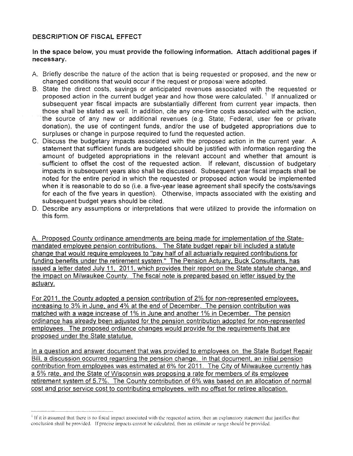# DESCRIPTION OF FISCAL EFFECT

## In the space below, you must provide the following information. Attach additional pages if necessary.

- A. Briefly describe the nature of the action that is being requested or proposed, and the new or changed conditions that would occur if the request or proposal were adopted,
- B, State the direct costs, savings or anticipated revenues associated with the requested or proposed action in the current budget year and how those were calculated.<sup>1</sup> If annualized or subsequent year fiscal impacts are substantially different from current year impacts, then those shall be stated as well. In addition, cite anyone-time costs associated with the action, the source of any new or additional revenues (e.q. State, Federal, user fee or private donation), the use of contingent funds, and/or the use of budgeted appropriations due to surpluses or change in purpose required to fund the requested action.
- C, Discuss the budgetary impacts associated with the proposed action in the current year. A statement that sufficient funds are budgeted should be justified with information regarding the amount of budgeted appropriations in the relevant account and whether that amount is sufficient to offset the cost of the requested action. If relevant, discussion of budgetary impacts in subsequent years also shall be discussed. Subsequent year fiscal impacts shall be noted for the entire period in which the requested or proposed action would be implemented when it is reasonable to do so (i.e. a five-year lease agreement shall specify the costs/savings for each of the five years in question). Otherwise, impacts associated with the existing and subsequent budget years should be cited.
- D. Describe any assumptions or interpretations that were utilized to provide the information on this form.

A. Proposed County ordinance amendments are being made for implementation of the Statemandated employee pension contributions. The State budget repair bill included a statute change that would reguire employees to "pay half of all actuarially required contributions for funding benefits under the retirement system." The Pension Actuary, Buck Consultants, has issued a letter dated July 11, 2011, which provides their report on the State statute change, and the impact on Milwaukee County. The fiscal note is prepared based on letter issued by the actuary.

For 2011, the County adopted a pension contribution of 2% for non-represented employees, increasing to 3% in June, and 4% at the end of December. The pension contribution was matched with a wage increase of 1% in June and another 1% in December. The pension ordinance has already been adjusted for the pension contribution adopted for non-represented employees. The proposed ordiance changes would provide for the requirements that are proposed under the State statutue.

In a question and answer document that was provided to employees on the State Budget Repair Bill, a discussion occurred regarding the pension change. In that document, an initial pension contribution from employees was estimated at 6% for 2011. The City of Milwaukee currently has a 5% rate, and the State of Wisconsin was proposing a rate for members of its employee retirement system of 5.7%. The County contribution of 6% was based on an allocation of normal cost and prior service cost to contributing employees, with no offset for retiree allocation.

<sup>&</sup>lt;sup>1</sup> If it is assumed that there is no fiscal impact associated with the requested action, then an explanatory statement that justifies that conclusion shall be provided. If precise impacts cannot be calculated, then an estimate or range should be provided.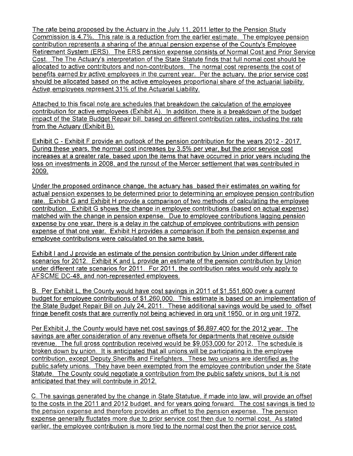The rate being proposed by the Actuary in the July 11, 2011 letter to the Pension Study Commission is 4,7%, This rate is a reduction from the earlier estimate, The employee pension contribution represents a sharing of the annual pension expense of the County's Employee Retirement System (ERS), The ERS pension expense consists of Normal Cost and Prior Service Cost. The The Actuary's interpretation of the State Statute finds that full nomal cost should be allocated to active contributors and non-contributors, The normal cost represents the cost of benefits earned by active employees in the current year. Per the actuary, the prior service cost should be allocated based on the active employees proportional share of the actuarial liability. Active employees represent 31% of the Actuarial Liability,

Attached to this fiscal note are schedules that breakdown the calculation of the employee contribution for active employees (Exhibit A), In addition, there is a breakdown of the budget impact of the State Budget Repair bill, based on different contributfon rates, including the rate from the Actuary (Exhibit B),

Exhibit C - Exhibit F provide an outlook of the pension contribution for the years 2012 - 2017, During these years, the normal cost increases by 3.5% per year. but the prior service cost increases at a greater rate, based upon the items that have occurred in prior years including the loss on investments in 2008, and the runout of the Mercer settlement that was contributed in 2009,

Under the proposed ordinance change, the actuary has based their estimates on waiting for actual pension expenses to be determined prior to determining an employee pension contribution rate. Exhibit G and Exhibit H provide a comparison of two methods of calculating the employee contribution. Exhibit G shows the change in employee contributions (based on actual expense) matched with the change in pension expense. Due to employee contributions lagging pension expense by one year, there is a delay in the catchup of employee contributions with pension expense of that one year. Exhibit H provides a comparison if both the pension expense and employee contributions were calculated on the same basis.

Exhibit I and J provide an estimate of the pension contribution by Union under different rate scenarios for 2012. Exhibit K and L provide an estimate of the pension contribution by Union under different rate scenarios for 2011, For 2011. the contribution rates would only apply to AFSCME DC-48, and non-represented employees.

B. Per Exhibit L, the County would have cost savings in 2011 of **\$1,551,600** over a current budget for employee contributions of \$1,260,000. This estimate is based on an implementation of the State Budget Repair Bill on July 24, 2011. These additional savings would be used to offset fringe benefit costs that are currently not being achieved in org unit 1950, or in org unit 1972.

Per Exhibit J, the County would have net cost savings of \$6,897.400 for the 2012 year. The savings are after consideration of any revenue offsets for departments that receive outside revenue. The full gross contribution received would be \$9,053,000 for 2012. The schedule is broken down by union. It is anticipated that all unions will be participating in the employee contribution, except Deputy Sheriffs and Firefighters. These two unions are identified as the public safety unions, They have been exempted from the employee contribution under the State Statute, The County could negotiate a contribution from the public safety unions, but it is not anticipated that they will contribute in 2012.

C. The savings generated by the change in State Statutue, if made into law, will provide an offset to the costs in the 2011 and 2012 budget, and for years going forward. The cost savings is tied to the pension expense and therefore provides an offset to the pension expense, The pension expense generally fluctates more due to prior service cost then due to normal cost. As stated earlier, the employee contribution is more tied to the normal cost then the prior service cost,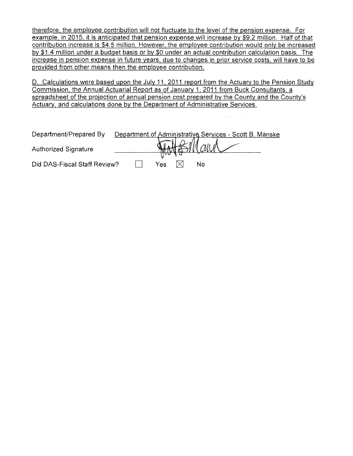therefore. the employee contribution will not fluctuate to the level of the pension expense. For example, in 2015, it is anticipated that pension expense will increase by \$9.2 million. Half of that contribution increase is \$4.5 million, However, the employee contribution would only be increased by \$1,4 million under a budget basis or by \$0 under an actual contribution calculation basis. The increase in pension expense in future years, due to changes in prior service costs, will have to be provided from other means then the employee contribution.

D. Calculations were based upon the July 11, 2011 report from the Actuary to the Pension Study Commission, the Annual Actuarial Report as of January 1, 2011 from Buck Consultants, a spreadsheet of the projection of annual pension cost prepared by the County and the Countv's Actuary, and calculations done by the Department of Administrative Services.

| Department/Prepared By       |     | Department of Administrative Services - Scott B. Manske |  |
|------------------------------|-----|---------------------------------------------------------|--|
| <b>Authorized Signature</b>  |     | Watt Billaun                                            |  |
|                              | Yes | Nο                                                      |  |
| Did DAS-Fiscal Staff Review? |     |                                                         |  |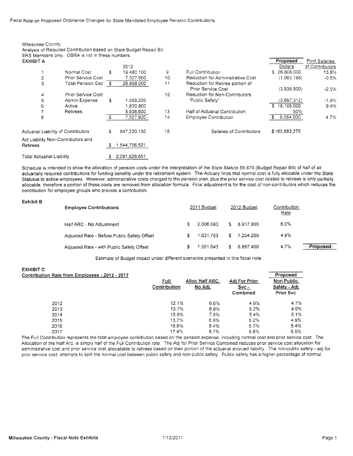Fiscal Note on Proposed Ordinance Changes for State Mandated Employee Pension Contributions.

Analysis of Required Contribution based on State Budget Repair Bill

| <b>EXHIBIT A</b>                    | ERS Members only. OBRA is not in these numbers. |     |               |         |                                   | Proposed      | Pont Salaries   |
|-------------------------------------|-------------------------------------------------|-----|---------------|---------|-----------------------------------|---------------|-----------------|
|                                     |                                                 |     | 2012          |         |                                   | Dollars       | of Contributors |
|                                     | Normal Cost                                     | Ŝ.  | 19,480,100    | 9       | Full Contribution                 | \$26,808,000  | 13.8%           |
| 2                                   | <b>Prior Service Cost</b>                       |     | 7.327,900     | 10      | Reduction for Administrative Cost | (1,063,788)   | $-0.5%$         |
| 3                                   | <b>Total Pension Exp</b>                        | - S | 26,808,000    | 11      | Reduction for Retiree portion of  |               |                 |
|                                     |                                                 |     |               |         | Prior Service Cost                | (3,938,900)   | $-2.0%$         |
| 4                                   | <b>Prior Service Cost</b>                       |     |               | $12 \,$ | Reduction for Non-Contributors    |               |                 |
| 5                                   | Admin Expense                                   | \$. | 1,558.200     |         | "Public Safety"                   | (3,697,312)   | $-1.9%$         |
| 6                                   | Active                                          |     | 1.830.800     |         |                                   | 18,108,000    | 9.4%            |
|                                     | Retirees                                        |     | 3.938.900     | 13      | Half of Actuarial Contribution    | 50%           |                 |
| 8                                   |                                                 | - 3 | 7.327.900     | 14      | <b>Employee Contribution</b>      | 9.054.000     | 4.7%            |
| Actuarial Liability of Contributors |                                                 | \$  | 547.220.130   | 15      | Salaries of Contributors          | \$193.563.275 |                 |
| Act Liability Non-Contributors and  |                                                 |     |               |         |                                   |               |                 |
| <b>Retirees</b>                     |                                                 | -5  | 1.544,706,521 |         |                                   |               |                 |
| <b>Total Actuarial Liability</b>    |                                                 |     | 2.091.926.651 |         |                                   |               |                 |

Schedule is intended to show the allocation of pension costs under the interpretation of the State Statute 59,875 (Budget Repair Bill) of half of all actuarially required contributions for funding benefits under the retirement system. The Actuary finds that normal cost is fully allocable under the State Statutue to active employees. However, administrative costs charged to the pension plan, plus the prior service cost related to retirees is only partially allocable, therefore a portion of these costs are removed from allocation formula. Final adjustment is for the cost of non-contributors which reduces the contribution for employee groups who provide a contribution,

#### Exhibit B

Milwaukee County

|                                                                                                                                                       |           |                          |           | Contribution<br>Rate |          |
|-------------------------------------------------------------------------------------------------------------------------------------------------------|-----------|--------------------------|-----------|----------------------|----------|
| s                                                                                                                                                     |           | £.                       | 8.917.800 | $6.0\%$              |          |
| S                                                                                                                                                     | 1.631.753 | \$                       | 7.254.200 | 4.9%                 |          |
| 3                                                                                                                                                     | 1.551.643 | £                        | 6.897.400 | 4.7%                 | Proposed |
| <b>Employee Contributions</b><br>Half ARC - No Adjustment<br>Adjusted Rate - Before Public Safety Offset<br>Adjusted Rate - with Public Safety Offset |           | 2011 Budget<br>2.006.083 |           | 2012 Budget          |          |

Estimate of Budget impact under different scenarios presented in this fiscal note.

#### EXHIBITC Contribution Rate from Employees - 2012 - 2017

| <u> Dution Rate from Employees - 2012 - 2017</u> | Full<br>Contribution | Alloc Half ARC -<br>No Adj. | Adj For Prior<br>$Svc -$<br>Combined | rioposeu<br><b>Non Public</b><br>Safety - Adj<br><b>Prior Svc</b> |
|--------------------------------------------------|----------------------|-----------------------------|--------------------------------------|-------------------------------------------------------------------|
| 2012                                             | 12.1%                | 6.0%                        | 4.9%                                 | 4.7%                                                              |
| 2013                                             | 13.7%                | 6.9%                        | 5.2%                                 | 4.9%                                                              |
| 2014                                             | 15.0%                | 7.5%                        | 5.4%                                 | 5.1%                                                              |
| 2015                                             | 13.7%                | 6.9%                        | 5.2%                                 | 4.9%                                                              |
| 2016                                             | 16.9%                | 8.4%                        | 5.7%                                 | 5.4%                                                              |
| 2017                                             | 17.4%                | 8.7%                        | 5.8%                                 | 5.5%                                                              |

The Full Contribution represents the total employee contribution based on the pension expense, including normal cost and prior service cost. The Allocation of the Half Arc, is simply half of the Full Contribution rate. The Adj for Prior Service Combined reduces prior service cost allocation for administrative cost and prior service cost allocatable to retirees based on their portion of the actuarial accrued liability. The non-public safety - adj for prior service cost, attempts to split the normal cost between public safety and non-public safety. Public safety has a higher percentage of normal.

proposed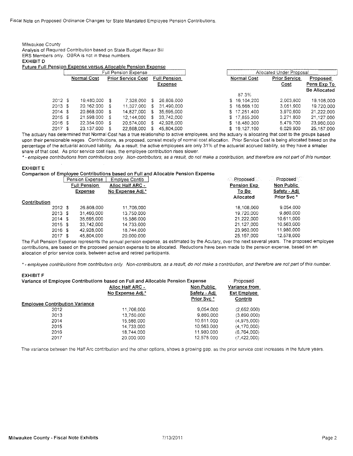| Milwaukee County<br>Analysis of Required Contribution based on State Budget Repair Bill<br>ERS Members only. OBRA is not in these numbers.<br><b>EXHIBIT D</b><br><b>Future Full Pension Expense versus Allocable Pension Expense</b> |             |   |                             |    |                     |    |                    |                          |        |
|---------------------------------------------------------------------------------------------------------------------------------------------------------------------------------------------------------------------------------------|-------------|---|-----------------------------|----|---------------------|----|--------------------|--------------------------|--------|
|                                                                                                                                                                                                                                       |             |   | <b>Full Pension Expense</b> |    |                     |    |                    | Allocated Under Proposal |        |
|                                                                                                                                                                                                                                       | Normal Cost |   | <b>Prior Service Cost</b>   |    | <b>Full Pension</b> |    | <b>Normal Cost</b> | <b>Prior Service</b>     |        |
|                                                                                                                                                                                                                                       |             |   |                             |    | Expense             |    |                    | Cost                     | Ε<br>в |
|                                                                                                                                                                                                                                       |             |   |                             |    |                     |    | 87.3%              |                          |        |
| 2012 S                                                                                                                                                                                                                                | 19.480.000  | S | 7.328.000                   | S. | 26.808.000          |    | \$16.104.200       | 2.003.800                |        |
| 2013S                                                                                                                                                                                                                                 | 20.162.000  | S | 11.327.000                  | S  | 31,490,000          | s. | 16,668.100         | 3.051.900                |        |
| 2014S                                                                                                                                                                                                                                 | 20.868.000  | S | 14.827.000                  | S  | 35,695,000          |    | \$17,251,400       | 3,970,600                |        |
| 2015 \$                                                                                                                                                                                                                               | 21.598.000  | s | 12.144.000                  | S. | 33,742,000          |    | \$17,855,200       | 3,271,800                |        |
| 2016 \$                                                                                                                                                                                                                               | 22.354.000  | S | 20.574.000                  | S  | 42.928,000          | s. | 18.480.300         | 5.479.700                |        |
| 2017 \$                                                                                                                                                                                                                               | 23.137.000  |   | 22.668.000                  | S  | 45.804.000          |    | \$19.127.100       | 6.029.900                |        |

The actuary has determined that Normal Cost has a true relationship to active employees, and the actuary is allocating that cost to the groups based upon their pensionable wages. Contributions, as proposed, consist mostly of normal cost allocation. Prior Service Cost is being allocated based on the percentage of the actuarial accrued liability. As a result, the active employees are only 31% of the actuarial accrued liability, so they have a smaller share of that cost. As prior service cost rises, the employee contribution rises slower.

\*- employee contributions from contributors only. Non-contributors, as a result, do not make a contribution, and therefore are not part of this number.

#### **EXHIBIT E**

#### Comparison of Employee Contributions based on Full and Allocable Pension Expense

|              |         | <b>Pension Expense</b> | <b>Additional Alternative Additional American Alternative Controller and Alternative Computer Computer Computer</b><br>Emplyee Contib | Proposed    | Proposed     |
|--------------|---------|------------------------|---------------------------------------------------------------------------------------------------------------------------------------|-------------|--------------|
|              |         | <b>Full Pension</b>    | Alloc Half ARC -                                                                                                                      | Pension Exp | Non Public   |
|              |         | Expense                | No Expense Adj.*                                                                                                                      | To Be       | Safety - Adj |
| Contribution |         |                        |                                                                                                                                       | Allocated   | Prior Svc*   |
|              | 2012S   | 26.808.000             | 11.706.000                                                                                                                            | 18.108.000  | 9.054.000    |
|              | 2013S   | 31.490.000             | 13.750.000                                                                                                                            | 19.720.000  | 9,860,000    |
|              | 2014S   | 35.695.000             | 15.586.000                                                                                                                            | 21.222.000  | 10.611.000   |
|              | 2015S   | 33.742.000             | 14.733.000                                                                                                                            | 21.127.000  | 10.563.000   |
|              | 2016 \$ | 42,928,000             | 18.744.000                                                                                                                            | 23.960.000  | 11.980.000   |
|              | 2017 \$ | 45.804.000             | 20.000.000                                                                                                                            | 25,157,000  | 12,578.000   |
|              |         |                        |                                                                                                                                       |             |              |

The Full Pension Expense represents the annual pension expense, as estimated by the Acutary, over the next several years. The proposed employee contributions, are based on the proposed pension expense to be allocated. Reductions have been made to the pension expense, based on an allocation of prior service costs, between active and retired participants.

\*- employee contributions from contributors only. Non-contributors, as a result, do not make a contribution, and therefore are not part of this number.

#### **EXHIBIT F**

| Variance of Employee Contributions based on Full and Allocable Pension Expense | Proposed         |              |                                     |  |
|--------------------------------------------------------------------------------|------------------|--------------|-------------------------------------|--|
|                                                                                | Alloc Half ARC - | Non Public   | Variance from<br><b>Est Emplyee</b> |  |
|                                                                                | No Expense Adj.* | Safety - Adj |                                     |  |
|                                                                                |                  | Prior Svc*   | Contrib                             |  |
| <b>Employee Contribution Variance</b>                                          |                  |              |                                     |  |
| 2012                                                                           | 11,706,000       | 9,054.000    | (2,652,000)                         |  |
| 2013                                                                           | 13.750.000       | 9.860.000    | (3.890.000)                         |  |
| 2014                                                                           | 15,586,000       | 10.611.000   | (4.975.000)                         |  |
| 2015                                                                           | 14.733.000       | 10.563,000   | (4, 170, 000)                       |  |
| 2016                                                                           | 18.744.000       | 11,980,000   | (6,764,000)                         |  |
| 2017                                                                           | 20,000,000       | 12.578.000   | (7,422,000)                         |  |

The variance between the Half Arc contribution and the other options, shows a growing gap, as the prior service cost increases in the future years.

Proposed

Pens Exp To **Be Allocated** 

18,108,000

19,720,000

21.222,000

21.127.000

23,960,000

25,157,000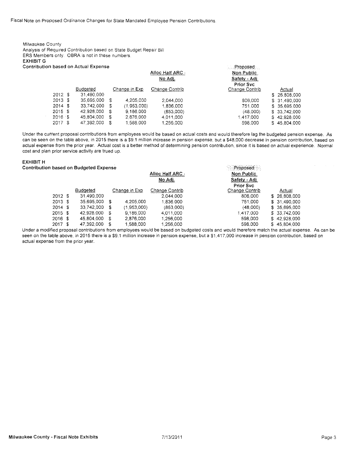Fiscal Note on Proposed Ordinance Changes for State Mandated Employee Pension Contributions

Milwaukee County Analysis of Required Contribution based on State Budget Repair Bill ERS Members only, OBRA is not in these numbers EXHIBIT G Contribution based on Actual Expense

|         | tion based on Actual Expense |   |                |                  | <b>Proposed</b> |               |
|---------|------------------------------|---|----------------|------------------|-----------------|---------------|
|         |                              |   |                | Alloc Half ARC - | Non Public      |               |
|         |                              |   |                | No Adj.          | Safety - Adj    |               |
|         |                              |   |                |                  | Prior Svc       |               |
|         | <b>Budgeted</b>              |   | Change in Exp. | Change Contrib   | Change Contrib  | Actual        |
| 2012S   | 31.490.000                   |   |                |                  |                 | \$26,808,000  |
| 2013 \$ | 35.695.000                   | S | 4.205.000      | 2.044.000        | 806.000         | \$ 31,490,000 |
| 2014S   | 33.742.000                   | £ | (1.953.000)    | 1.836.000        | 751.000         | \$ 35,695,000 |
| 2015 \$ | 42.928.000                   | S | 9.186.000      | (853,000)        | (48,000)        | \$ 33,742,000 |
| 2016 \$ | 45,804,000                   | S | 2.876.000      | 4.011.000        | 1.417.000       | \$42,928,000  |
| 2017 \$ | 47,392,000                   |   | 1.588.000      | 1.256.000        | 598,000         | \$45,804,000  |
|         |                              |   |                |                  |                 |               |

Under the current proposal contributions from employees would be based on actual costs and would therefore lag the budgeted pension expense. As can be seen on the table above, in 2015 there is a \$9.1 million increase in pension expense, but a \$48,000 decrease in pension contribution, based on actual expense from the prior year. Actual cost is a better method of determining pension contribution, since it is based on actual experience, Normal cost and plan prior service activity are trued up.

#### EXHIBIT H

Alloe Half ARC· No Adj. Proposed Non Public Safety - Adj Prior Svc Budgeted Change in Exp Change Contrib Change Contrib Actual 2012 \$ 31.490,000 2,044,000 806,000 \$ 26,808~000 2013 \$ 35,695,000 \$ 4,205,000 1,836,000 751,000 \$ 31.490,000 2014 \$ 33,742,000 \$ (1,953,000) (853,000) (48,000) \$ 35,695,000 <sup>2015</sup> \$ 42,928,000 \$ 9,186,000 4,011,000 1,417,000 s 33,742,000 2016 \$45,804,000 \$2,876,000 1,256,000 \$98,000 \$42,928,000 \$42,928,000 \$1,256,000 \$598,000 \$598,000 \$ 2017 \$ 47,392,000 \$ 1,588,000 1,256,000 \$ 598,000 \$ 45,804,000 Contribution based on Budgeted Expense

Under a modified proposal contributions from employees would be based on budgeted costs and would therefore match the actual expense. As can be seen on the table above, in 2015 there is a \$9.1 million increase in pension expense, but a \$1,417,000 increase in pension contribution, based on actual expense from the prior year.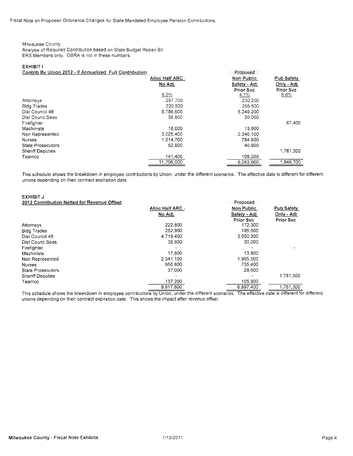### Milwaukee County

Analysis of Required Contribution based on State Budget Repair Bill ERS Members only. OBRA is not in these numbers.

### EXHIBIT I

Contrib By Union 2012 - If Annualized Full Contribution

| .                        |                  | and a series of the series of the series of the series of the series of the series of the series of the series |            |
|--------------------------|------------------|----------------------------------------------------------------------------------------------------------------|------------|
|                          | Alloc Half ARC - | Non Public                                                                                                     | Pub Safety |
|                          | No Adj.          | Safety - Adj                                                                                                   | Only - Adj |
|                          |                  | Prior Svc                                                                                                      | Prior Svc  |
|                          | 6.0%             | 4.7%                                                                                                           | 6.6%       |
| Attorneys                | 297.700          | 230.200                                                                                                        |            |
| <b>Bidg Trades</b>       | 330.500          | 255.600                                                                                                        |            |
| Dist Council 48          | 6.786.600        | 5,249,200                                                                                                      |            |
| Dist Counc Seas          | 38,800           | 30,000                                                                                                         |            |
| Firefighter              |                  |                                                                                                                | 67.400     |
| Machinists               | 18,000           | 13,900                                                                                                         |            |
| Non Represented          | 3.025,400        | 2.340.100                                                                                                      |            |
| <b>Nurses</b>            | 1.014.700        | 784,800                                                                                                        |            |
| <b>State Prosecutors</b> | 52,900           | 40.900                                                                                                         |            |
| <b>Sheriff Deputies</b>  |                  |                                                                                                                | 1.781.300  |
| Teamco                   | 141,400          | 109,200                                                                                                        |            |
|                          | 11.706.000       | 9.053.900                                                                                                      | 1,848,700  |

**Proposed** 

This schedule shows the breakdown in employee contributions by Union, under the different scenarios. The effective date is different for different unions depending on their contract expiration date.

#### EXHIBIT J 2012 Contribution Netted for Revenue Offset

| 2012 Contribution Netted for Revenue Offset |                  | Proposed          |                   |
|---------------------------------------------|------------------|-------------------|-------------------|
|                                             | Alloc Hall ARC - | <b>Non Public</b> | <b>Pub Safety</b> |
|                                             | No Adj.          | Safety - Adj      | Only - Adj        |
|                                             |                  | <b>Prior Svc</b>  | <b>Prior Svc</b>  |
| Attorneys                                   | 222.800          | 172.300           |                   |
| <b>Bidg Trades</b>                          | 252,900          | 195,600           |                   |
| Dist Council 48                             | 4,719,400        | 3,650,300         |                   |
| Dist Counc Seas                             | 38,800           | 30,000            |                   |
| Firefighter                                 |                  |                   |                   |
| Machinists                                  | 17,800           | 13,800            |                   |
| Non Represented                             | 2.541.100        | 1,965,500         |                   |
| <b>Nurses</b>                               | 950.800          | 735,400           |                   |
| <b>State Prosecutors</b>                    | 37,000           | 28,600            |                   |
| <b>Sheriff Deputies</b>                     |                  |                   | 1,781,300         |
| Teamco                                      | 137,200          | 105,900           |                   |
|                                             | 8,917,800        | 6,897,400         | 1,781,300         |

This schedule shows the breakdown in employee contributions by Union, under the different scenarios. The effective date is different for different unions depending on their contract expiration date. This shows the impact after revenue offset.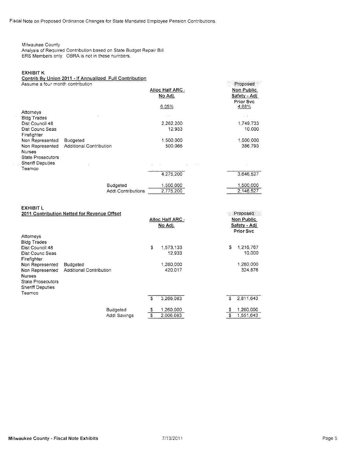Fiscal Note on Proposed Ordinance Changes for State Mandated Employee Pension Contributions

## Milwaukee County

Analysis of Required Contribution based on State Budget Repair Bill ERS Members only. OBRA is not in these numbers.

### **EXHIBIT K**

## Contrib By Union 2011 - If Annualized Full Contribution

| Assume a four month contribution                                               |                                             |                                    | Proposed                                            |
|--------------------------------------------------------------------------------|---------------------------------------------|------------------------------------|-----------------------------------------------------|
|                                                                                |                                             | Alloc Half ARC -<br>No Adj.        | <b>Non Public</b><br>Safety - Adj<br>Prior Svc      |
|                                                                                |                                             | 6.05%                              | 4.68%                                               |
| Attorneys<br><b>Bidg Trades</b>                                                |                                             |                                    |                                                     |
| Dist Council 48<br>Dist Counc Seas                                             |                                             | 2.262,200<br>12,933                | 1,749,733<br>10.000                                 |
| Firefighter<br>Non Represented                                                 | Budgeted                                    | 1,500,000                          | 1,500,000                                           |
| Non Represented                                                                | Additional Contribution                     | 500,066                            | 386,793                                             |
| <b>Nurses</b><br><b>State Prosecutors</b><br><b>Sheriff Deputies</b>           |                                             |                                    |                                                     |
| Teamco                                                                         |                                             |                                    |                                                     |
|                                                                                |                                             | 4,275,200                          | 3,646,527                                           |
|                                                                                | Budgeted                                    | 1,500,000                          | 1,500,000                                           |
|                                                                                | <b>Addl Contributions</b>                   | 2,775,200                          | 2,146,527                                           |
| <b>EXHIBIT L</b>                                                               | 2011 Contribution Netted for Revenue Offset | Alloc Half ARC .<br>No Adj.        | Proposed<br>Non Public<br>Safety - Adj<br>Prior Svc |
| Attorneys                                                                      |                                             |                                    |                                                     |
| <b>Bldg Trades</b><br>Dist Council 48<br>Dist Counc Seas<br>Firefighter        |                                             | \$<br>1,573,133<br>12,933          | 1,216,767<br>\$<br>10,000                           |
| Non Represented                                                                | <b>Budgeted</b>                             | 1,260,000                          | 1,260,000                                           |
| Non Represented                                                                | <b>Additional Contribution</b>              | 420.017                            | 324,876                                             |
| <b>Nurses</b><br><b>State Prosecutors</b><br><b>Sheriff Deputies</b><br>Teamco |                                             |                                    |                                                     |
|                                                                                |                                             | \$<br>3,266,083                    | 2,811,643<br>£                                      |
|                                                                                | <b>Budgeted</b><br><b>Addl Savings</b>      | \$<br>1,260,000<br>\$<br>2,006,083 | 1,260,000<br>\$<br>Ŝ<br>1,551,643                   |